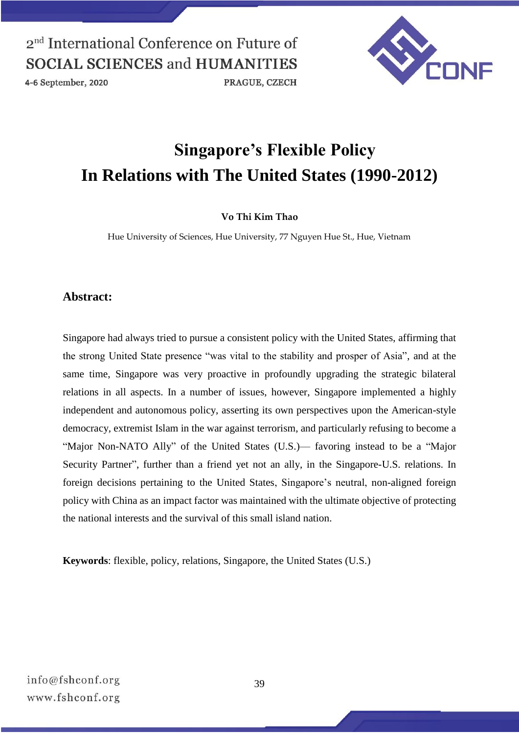4-6 September, 2020

PRAGUE, CZECH



# **Singapore's Flexible Policy In Relations with The United States (1990-2012)**

#### **Vo Thi Kim Thao**

Hue University of Sciences, Hue University, 77 Nguyen Hue St., Hue, Vietnam

#### **Abstract:**

Singapore had always tried to pursue a consistent policy with the United States, affirming that the strong United State presence "was vital to the stability and prosper of Asia", and at the same time, Singapore was very proactive in profoundly upgrading the strategic bilateral relations in all aspects. In a number of issues, however, Singapore implemented a highly independent and autonomous policy, asserting its own perspectives upon the American-style democracy, extremist Islam in the war against terrorism, and particularly refusing to become a "Major Non-NATO Ally" of the United States (U.S.)— favoring instead to be a "Major Security Partner", further than a friend yet not an ally, in the Singapore-U.S. relations. In foreign decisions pertaining to the United States, Singapore's neutral, non-aligned foreign policy with China as an impact factor was maintained with the ultimate objective of protecting the national interests and the survival of this small island nation.

**Keywords**: flexible, policy, relations, Singapore, the United States (U.S.)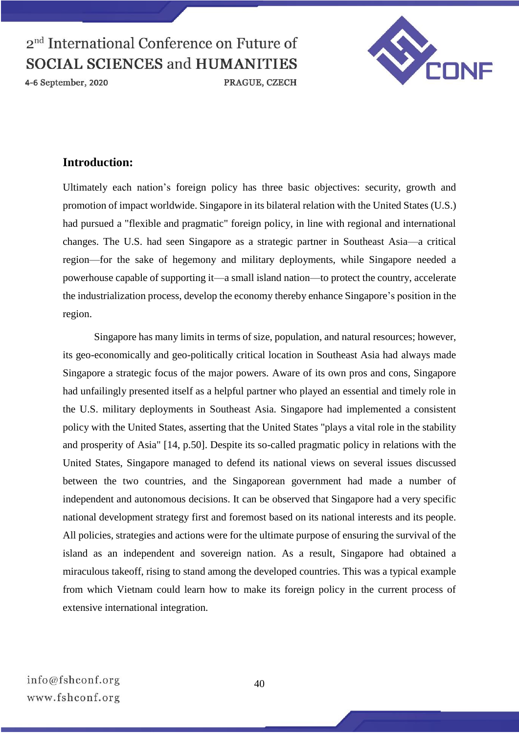

4-6 September, 2020



### **Introduction:**

Ultimately each nation's foreign policy has three basic objectives: security, growth and promotion of impact worldwide. Singapore in its bilateral relation with the United States (U.S.) had pursued a "flexible and pragmatic" foreign policy, in line with regional and international changes. The U.S. had seen Singapore as a strategic partner in Southeast Asia—a critical region—for the sake of hegemony and military deployments, while Singapore needed a powerhouse capable of supporting it—a small island nation—to protect the country, accelerate the industrialization process, develop the economy thereby enhance Singapore's position in the region.

Singapore has many limits in terms of size, population, and natural resources; however, its geo-economically and geo-politically critical location in Southeast Asia had always made Singapore a strategic focus of the major powers. Aware of its own pros and cons, Singapore had unfailingly presented itself as a helpful partner who played an essential and timely role in the U.S. military deployments in Southeast Asia. Singapore had implemented a consistent policy with the United States, asserting that the United States "plays a vital role in the stability and prosperity of Asia" [14, p.50]. Despite its so-called pragmatic policy in relations with the United States, Singapore managed to defend its national views on several issues discussed between the two countries, and the Singaporean government had made a number of independent and autonomous decisions. It can be observed that Singapore had a very specific national development strategy first and foremost based on its national interests and its people. All policies, strategies and actions were for the ultimate purpose of ensuring the survival of the island as an independent and sovereign nation. As a result, Singapore had obtained a miraculous takeoff, rising to stand among the developed countries. This was a typical example from which Vietnam could learn how to make its foreign policy in the current process of extensive international integration.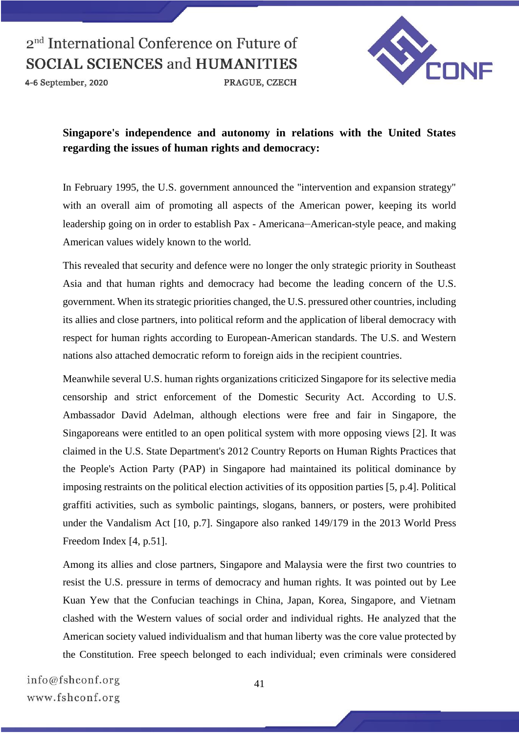4-6 September, 2020



### **Singapore's independence and autonomy in relations with the United States regarding the issues of human rights and democracy:**

PRAGUE, CZECH

In February 1995, the U.S. government announced the "intervention and expansion strategy" with an overall aim of promoting all aspects of the American power, keeping its world leadership going on in order to establish Pax - Americana—American-style peace, and making American values widely known to the world.

This revealed that security and defence were no longer the only strategic priority in Southeast Asia and that human rights and democracy had become the leading concern of the U.S. government. When its strategic priorities changed, the U.S. pressured other countries, including its allies and close partners, into political reform and the application of liberal democracy with respect for human rights according to European-American standards. The U.S. and Western nations also attached democratic reform to foreign aids in the recipient countries.

Meanwhile several U.S. human rights organizations criticized Singapore for its selective media censorship and strict enforcement of the Domestic Security Act. According to U.S. Ambassador David Adelman, although elections were free and fair in Singapore, the Singaporeans were entitled to an open political system with more opposing views [2]. It was claimed in the U.S. State Department's 2012 Country Reports on Human Rights Practices that the People's Action Party (PAP) in Singapore had maintained its political dominance by imposing restraints on the political election activities of its opposition parties [5, p.4]. Political graffiti activities, such as symbolic paintings, slogans, banners, or posters, were prohibited under the Vandalism Act [10, p.7]. Singapore also ranked 149/179 in the 2013 World Press Freedom Index [4, p.51].

Among its allies and close partners, Singapore and Malaysia were the first two countries to resist the U.S. pressure in terms of democracy and human rights. It was pointed out by Lee Kuan Yew that the Confucian teachings in China, Japan, Korea, Singapore, and Vietnam clashed with the Western values of social order and individual rights. He analyzed that the American society valued individualism and that human liberty was the core value protected by the Constitution. Free speech belonged to each individual; even criminals were considered

info@fshconf.org www.fshconf.org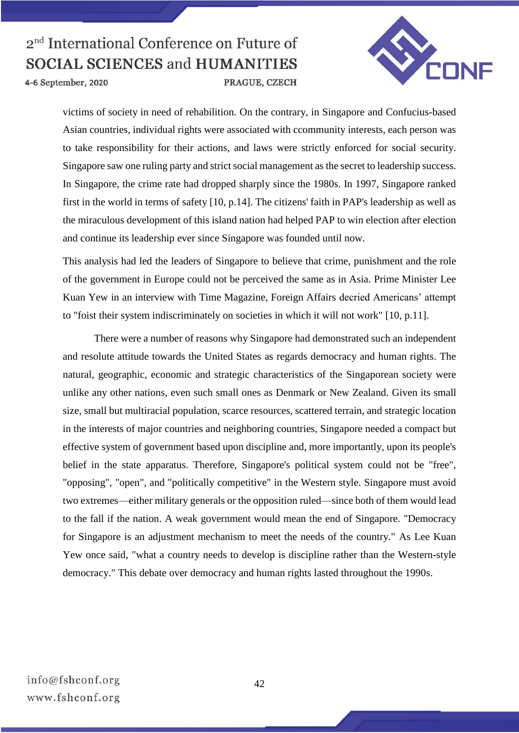

4-6 September, 2020

victims of society in need of rehabilition. On the contrary, in Singapore and Confucius-based Asian countries, individual rights were associated with ccommunity interests, each person was to take responsibility for their actions, and laws were strictly enforced for social security. Singapore saw one ruling party and strict social management as the secret to leadership success. In Singapore, the crime rate had dropped sharply since the 1980s. In 1997, Singapore ranked first in the world in terms of safety [10, p.14]. The citizens' faith in PAP's leadership as well as the miraculous development of this island nation had helped PAP to win election after election and continue its leadership ever since Singapore was founded until now.

This analysis had led the leaders of Singapore to believe that crime, punishment and the role of the government in Europe could not be perceived the same as in Asia. Prime Minister Lee Kuan Yew in an interview with Time Magazine, Foreign Affairs decried Americans' attempt to "foist their system indiscriminately on societies in which it will not work" [10, p.11].

There were a number of reasons why Singapore had demonstrated such an independent and resolute attitude towards the United States as regards democracy and human rights. The natural, geographic, economic and strategic characteristics of the Singaporean society were unlike any other nations, even such small ones as Denmark or New Zealand. Given its small size, small but multiracial population, scarce resources, scattered terrain, and strategic location in the interests of major countries and neighboring countries, Singapore needed a compact but effective system of government based upon discipline and, more importantly, upon its people's belief in the state apparatus. Therefore, Singapore's political system could not be "free", "opposing", "open", and "politically competitive" in the Western style. Singapore must avoid two extremes—either military generals or the opposition ruled—since both of them would lead to the fall if the nation. A weak government would mean the end of Singapore. "Democracy for Singapore is an adjustment mechanism to meet the needs of the country." As Lee Kuan Yew once said, "what a country needs to develop is discipline rather than the Western-style democracy." This debate over democracy and human rights lasted throughout the 1990s.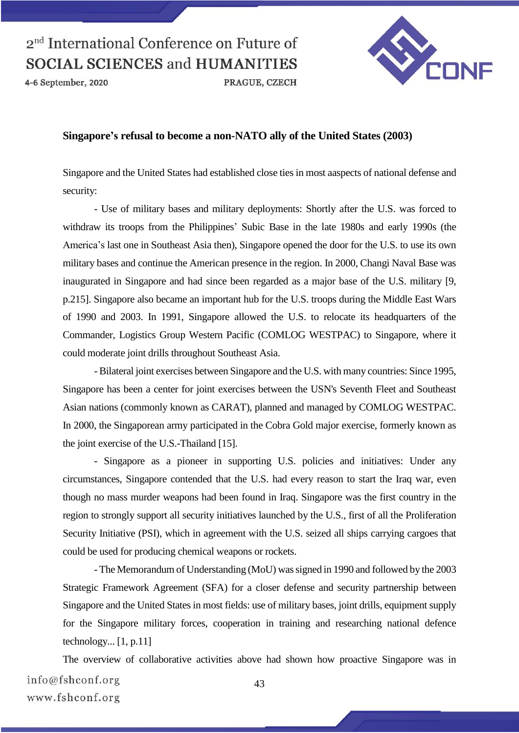4-6 September, 2020



#### **Singapore's refusal to become a non-NATO ally of the United States (2003)**

Singapore and the United States had established close ties in most aaspects of national defense and security:

PRAGUE, CZECH

- Use of military bases and military deployments: Shortly after the U.S. was forced to withdraw its troops from the Philippines' Subic Base in the late 1980s and early 1990s (the America's last one in Southeast Asia then), Singapore opened the door for the U.S. to use its own military bases and continue the American presence in the region. In 2000, Changi Naval Base was inaugurated in Singapore and had since been regarded as a major base of the U.S. military [9, p.215]. Singapore also became an important hub for the U.S. troops during the Middle East Wars of 1990 and 2003. In 1991, Singapore allowed the U.S. to relocate its headquarters of the Commander, Logistics Group Western Pacific (COMLOG WESTPAC) to Singapore, where it could moderate joint drills throughout Southeast Asia.

- Bilateral joint exercises between Singapore and the U.S. with many countries: Since 1995, Singapore has been a center for joint exercises between the USN's Seventh Fleet and Southeast Asian nations (commonly known as CARAT), planned and managed by COMLOG WESTPAC. In 2000, the Singaporean army participated in the Cobra Gold major exercise, formerly known as the joint exercise of the U.S.-Thailand [15].

- Singapore as a pioneer in supporting U.S. policies and initiatives: Under any circumstances, Singapore contended that the U.S. had every reason to start the Iraq war, even though no mass murder weapons had been found in Iraq. Singapore was the first country in the region to strongly support all security initiatives launched by the U.S., first of all the Proliferation Security Initiative (PSI), which in agreement with the U.S. seized all ships carrying cargoes that could be used for producing chemical weapons or rockets.

- The Memorandum of Understanding (MoU) was signed in 1990 and followed by the 2003 Strategic Framework Agreement (SFA) for a closer defense and security partnership between Singapore and the United States in most fields: use of military bases, joint drills, equipment supply for the Singapore military forces, cooperation in training and researching national defence technology... [1, p.11]

The overview of collaborative activities above had shown how proactive Singapore was in info@fshconf.org 43 www.fshconf.org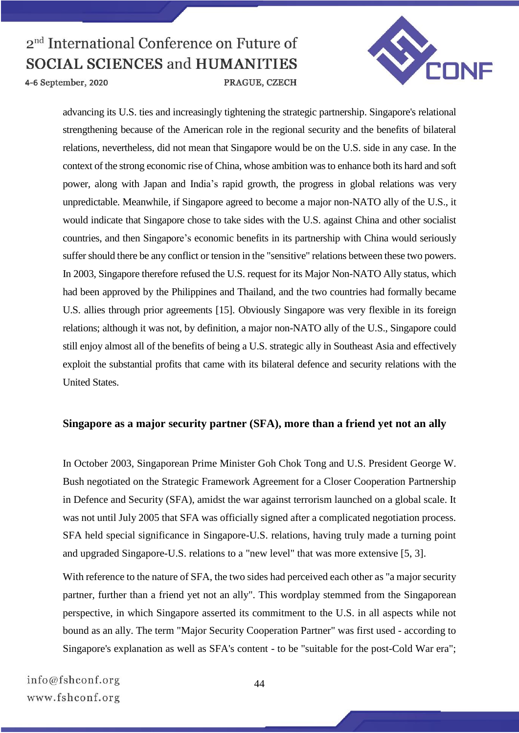

4-6 September, 2020

advancing its U.S. ties and increasingly tightening the strategic partnership. Singapore's relational strengthening because of the American role in the regional security and the benefits of bilateral relations, nevertheless, did not mean that Singapore would be on the U.S. side in any case. In the context of the strong economic rise of China, whose ambition was to enhance both its hard and soft power, along with Japan and India's rapid growth, the progress in global relations was very unpredictable. Meanwhile, if Singapore agreed to become a major non-NATO ally of the U.S., it would indicate that Singapore chose to take sides with the U.S. against China and other socialist countries, and then Singapore's economic benefits in its partnership with China would seriously suffer should there be any conflict or tension in the "sensitive" relations between these two powers. In 2003, Singapore therefore refused the U.S. request for its Major Non-NATO Ally status, which had been approved by the Philippines and Thailand, and the two countries had formally became U.S. allies through prior agreements [15]. Obviously Singapore was very flexible in its foreign relations; although it was not, by definition, a major non-NATO ally of the U.S., Singapore could still enjoy almost all of the benefits of being a U.S. strategic ally in Southeast Asia and effectively exploit the substantial profits that came with its bilateral defence and security relations with the United States.

### **Singapore as a major security partner (SFA), more than a friend yet not an ally**

In October 2003, Singaporean Prime Minister Goh Chok Tong and U.S. President George W. Bush negotiated on the Strategic Framework Agreement for a Closer Cooperation Partnership in Defence and Security (SFA), amidst the war against terrorism launched on a global scale. It was not until July 2005 that SFA was officially signed after a complicated negotiation process. SFA held special significance in Singapore-U.S. relations, having truly made a turning point and upgraded Singapore-U.S. relations to a "new level" that was more extensive [5, 3].

With reference to the nature of SFA, the two sides had perceived each other as "a major security partner, further than a friend yet not an ally". This wordplay stemmed from the Singaporean perspective, in which Singapore asserted its commitment to the U.S. in all aspects while not bound as an ally. The term "Major Security Cooperation Partner" was first used - according to Singapore's explanation as well as SFA's content - to be "suitable for the post-Cold War era";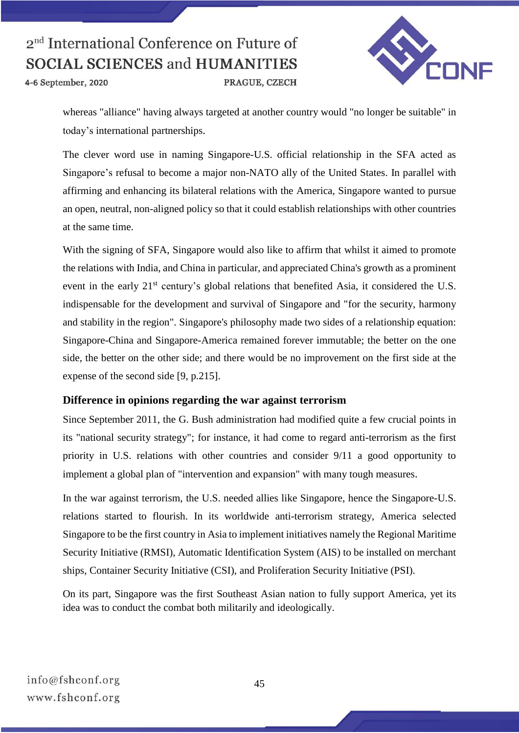4-6 September, 2020



whereas "alliance" having always targeted at another country would "no longer be suitable" in today's international partnerships.

PRAGUE, CZECH

The clever word use in naming Singapore-U.S. official relationship in the SFA acted as Singapore's refusal to become a major non-NATO ally of the United States. In parallel with affirming and enhancing its bilateral relations with the America, Singapore wanted to pursue an open, neutral, non-aligned policy so that it could establish relationships with other countries at the same time.

With the signing of SFA, Singapore would also like to affirm that whilst it aimed to promote the relations with India, and China in particular, and appreciated China's growth as a prominent event in the early 21<sup>st</sup> century's global relations that benefited Asia, it considered the U.S. indispensable for the development and survival of Singapore and "for the security, harmony and stability in the region". Singapore's philosophy made two sides of a relationship equation: Singapore-China and Singapore-America remained forever immutable; the better on the one side, the better on the other side; and there would be no improvement on the first side at the expense of the second side [9, p.215].

#### **Difference in opinions regarding the war against terrorism**

Since September 2011, the G. Bush administration had modified quite a few crucial points in its "national security strategy"; for instance, it had come to regard anti-terrorism as the first priority in U.S. relations with other countries and consider 9/11 a good opportunity to implement a global plan of "intervention and expansion" with many tough measures.

In the war against terrorism, the U.S. needed allies like Singapore, hence the Singapore-U.S. relations started to flourish. In its worldwide anti-terrorism strategy, America selected Singapore to be the first country in Asia to implement initiatives namely the Regional Maritime Security Initiative (RMSI), Automatic Identification System (AIS) to be installed on merchant ships, Container Security Initiative (CSI), and Proliferation Security Initiative (PSI).

On its part, Singapore was the first Southeast Asian nation to fully support America, yet its idea was to conduct the combat both militarily and ideologically.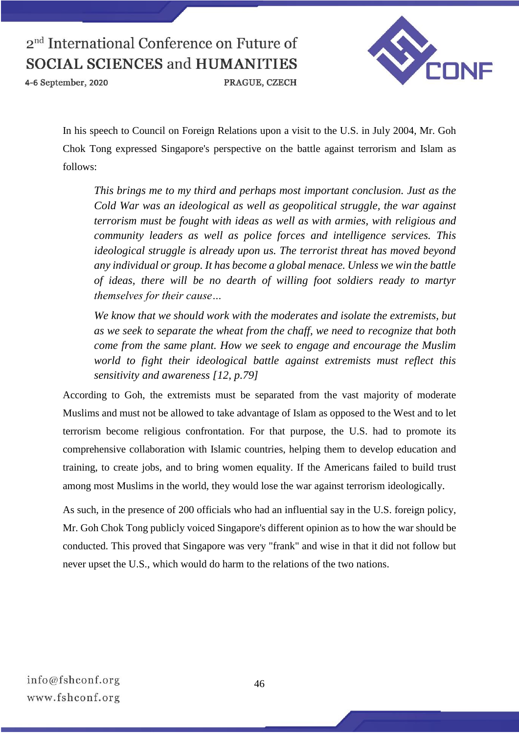

4-6 September, 2020



In his speech to Council on Foreign Relations upon a visit to the U.S. in July 2004, Mr. Goh Chok Tong expressed Singapore's perspective on the battle against terrorism and Islam as follows:

*This brings me to my third and perhaps most important conclusion. Just as the Cold War was an ideological as well as geopolitical struggle, the war against terrorism must be fought with ideas as well as with armies, with religious and community leaders as well as police forces and intelligence services. This ideological struggle is already upon us. The terrorist threat has moved beyond any individual or group. It has become a global menace. Unless we win the battle of ideas, there will be no dearth of willing foot soldiers ready to martyr themselves for their cause…*

*We know that we should work with the moderates and isolate the extremists, but as we seek to separate the wheat from the chaff, we need to recognize that both come from the same plant. How we seek to engage and encourage the Muslim world to fight their ideological battle against extremists must reflect this sensitivity and awareness [12, p.79]*

According to Goh, the extremists must be separated from the vast majority of moderate Muslims and must not be allowed to take advantage of Islam as opposed to the West and to let terrorism become religious confrontation. For that purpose, the U.S. had to promote its comprehensive collaboration with Islamic countries, helping them to develop education and training, to create jobs, and to bring women equality. If the Americans failed to build trust among most Muslims in the world, they would lose the war against terrorism ideologically.

As such, in the presence of 200 officials who had an influential say in the U.S. foreign policy, Mr. Goh Chok Tong publicly voiced Singapore's different opinion as to how the war should be conducted. This proved that Singapore was very "frank" and wise in that it did not follow but never upset the U.S., which would do harm to the relations of the two nations.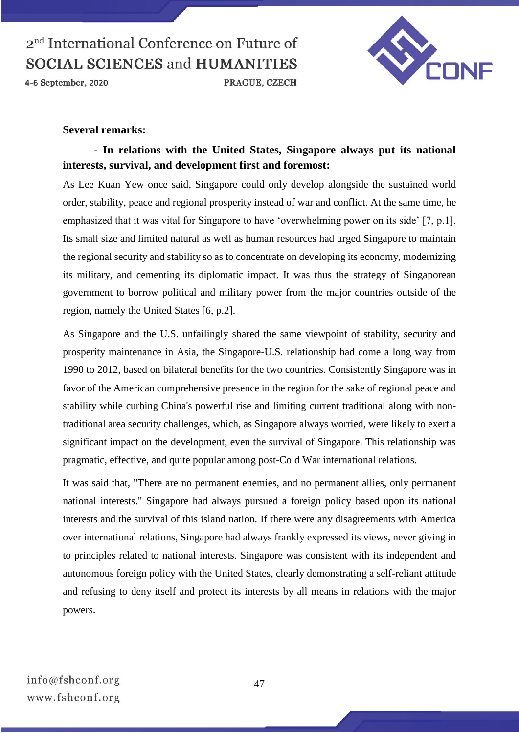

4-6 September, 2020



#### **Several remarks:**

### **- In relations with the United States, Singapore always put its national interests, survival, and development first and foremost:**

As Lee Kuan Yew once said, Singapore could only develop alongside the sustained world order, stability, peace and regional prosperity instead of war and conflict. At the same time, he emphasized that it was vital for Singapore to have 'overwhelming power on its side' [7, p.1]. Its small size and limited natural as well as human resources had urged Singapore to maintain the regional security and stability so as to concentrate on developing its economy, modernizing its military, and cementing its diplomatic impact. It was thus the strategy of Singaporean government to borrow political and military power from the major countries outside of the region, namely the United States [6, p.2].

As Singapore and the U.S. unfailingly shared the same viewpoint of stability, security and prosperity maintenance in Asia, the Singapore-U.S. relationship had come a long way from 1990 to 2012, based on bilateral benefits for the two countries. Consistently Singapore was in favor of the American comprehensive presence in the region for the sake of regional peace and stability while curbing China's powerful rise and limiting current traditional along with nontraditional area security challenges, which, as Singapore always worried, were likely to exert a significant impact on the development, even the survival of Singapore. This relationship was pragmatic, effective, and quite popular among post-Cold War international relations.

It was said that, "There are no permanent enemies, and no permanent allies, only permanent national interests." Singapore had always pursued a foreign policy based upon its national interests and the survival of this island nation. If there were any disagreements with America over international relations, Singapore had always frankly expressed its views, never giving in to principles related to national interests. Singapore was consistent with its independent and autonomous foreign policy with the United States, clearly demonstrating a self-reliant attitude and refusing to deny itself and protect its interests by all means in relations with the major powers.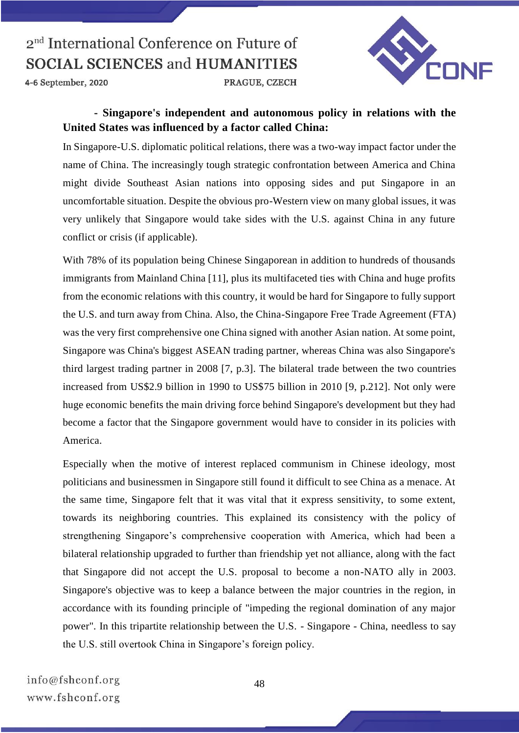

4-6 September, 2020

### **- Singapore's independent and autonomous policy in relations with the United States was influenced by a factor called China:**

PRAGUE, CZECH

In Singapore-U.S. diplomatic political relations, there was a two-way impact factor under the name of China. The increasingly tough strategic confrontation between America and China might divide Southeast Asian nations into opposing sides and put Singapore in an uncomfortable situation. Despite the obvious pro-Western view on many global issues, it was very unlikely that Singapore would take sides with the U.S. against China in any future conflict or crisis (if applicable).

With 78% of its population being Chinese Singaporean in addition to hundreds of thousands immigrants from Mainland China [11], plus its multifaceted ties with China and huge profits from the economic relations with this country, it would be hard for Singapore to fully support the U.S. and turn away from China. Also, the China-Singapore Free Trade Agreement (FTA) was the very first comprehensive one China signed with another Asian nation. At some point, Singapore was China's biggest ASEAN trading partner, whereas China was also Singapore's third largest trading partner in 2008 [7, p.3]. The bilateral trade between the two countries increased from US\$2.9 billion in 1990 to US\$75 billion in 2010 [9, p.212]. Not only were huge economic benefits the main driving force behind Singapore's development but they had become a factor that the Singapore government would have to consider in its policies with America.

Especially when the motive of interest replaced communism in Chinese ideology, most politicians and businessmen in Singapore still found it difficult to see China as a menace. At the same time, Singapore felt that it was vital that it express sensitivity, to some extent, towards its neighboring countries. This explained its consistency with the policy of strengthening Singapore's comprehensive cooperation with America, which had been a bilateral relationship upgraded to further than friendship yet not alliance, along with the fact that Singapore did not accept the U.S. proposal to become a non-NATO ally in 2003. Singapore's objective was to keep a balance between the major countries in the region, in accordance with its founding principle of "impeding the regional domination of any major power". In this tripartite relationship between the U.S. - Singapore - China, needless to say the U.S. still overtook China in Singapore's foreign policy.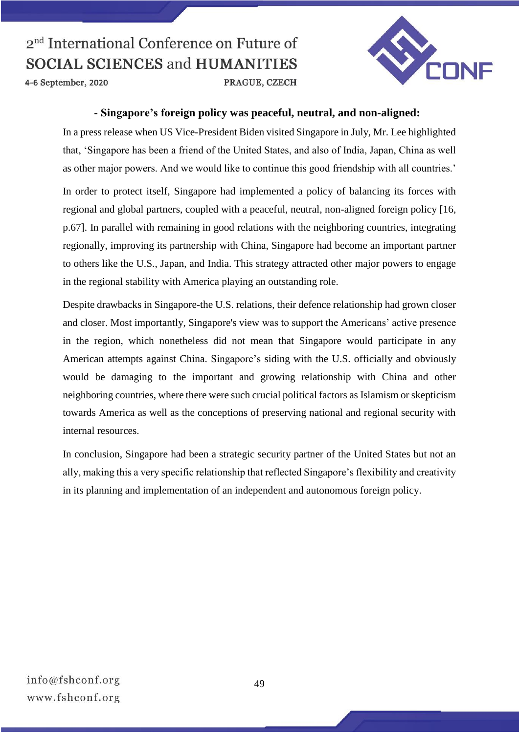

4-6 September, 2020

#### **- Singapore's foreign policy was peaceful, neutral, and non-aligned:**

In a press release when US Vice-President Biden visited Singapore in July, Mr. Lee highlighted that, 'Singapore has been a friend of the United States, and also of India, Japan, China as well as other major powers. And we would like to continue this good friendship with all countries.'

In order to protect itself, Singapore had implemented a policy of balancing its forces with regional and global partners, coupled with a peaceful, neutral, non-aligned foreign policy [16, p.67]. In parallel with remaining in good relations with the neighboring countries, integrating regionally, improving its partnership with China, Singapore had become an important partner to others like the U.S., Japan, and India. This strategy attracted other major powers to engage in the regional stability with America playing an outstanding role.

Despite drawbacks in Singapore-the U.S. relations, their defence relationship had grown closer and closer. Most importantly, Singapore's view was to support the Americans' active presence in the region, which nonetheless did not mean that Singapore would participate in any American attempts against China. Singapore's siding with the U.S. officially and obviously would be damaging to the important and growing relationship with China and other neighboring countries, where there were such crucial political factors as Islamism or skepticism towards America as well as the conceptions of preserving national and regional security with internal resources.

In conclusion, Singapore had been a strategic security partner of the United States but not an ally, making this a very specific relationship that reflected Singapore's flexibility and creativity in its planning and implementation of an independent and autonomous foreign policy.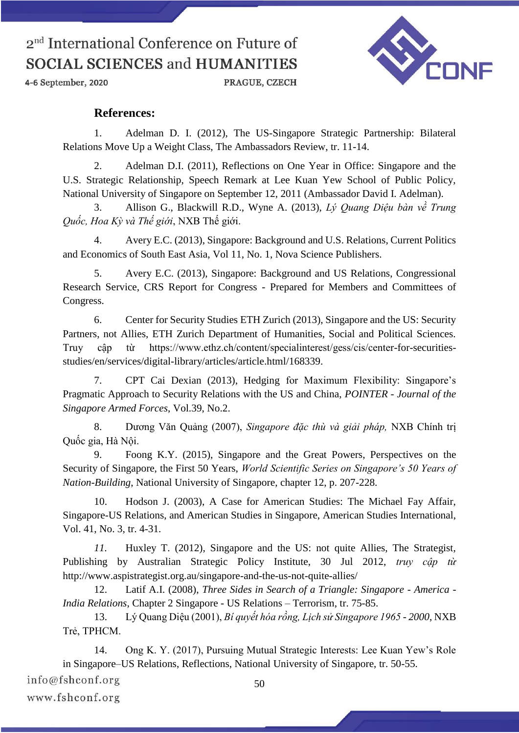4-6 September, 2020

PRAGUE, CZECH



### **References:**

1. Adelman D. I. (2012), The US-Singapore Strategic Partnership: Bilateral Relations Move Up a Weight Class, The Ambassadors Review, tr. 11-14.

2. Adelman D.I. (2011), Reflections on One Year in Office: Singapore and the U.S. Strategic Relationship, Speech Remark at Lee Kuan Yew School of Public Policy, National University of Singapore on September 12, 2011 (Ambassador David I. Adelman).

3. Allison G., Blackwill R.D., Wyne A. (2013), *Lý Quang Diệu bàn về Trung Quốc, Hoa Kỳ và Thế giới*, NXB Thế giới.

4. Avery E.C. (2013), Singapore: Background and U.S. Relations, Current Politics and Economics of South East Asia, Vol 11, No. 1, Nova Science Publishers.

5. Avery E.C. (2013), Singapore: Background and US Relations, Congressional Research Service, CRS Report for Congress - Prepared for Members and Committees of Congress.

6. Center for Security Studies ETH Zurich (2013), Singapore and the US: Security Partners, not Allies, ETH Zurich Department of Humanities, Social and Political Sciences. Truy cập từ https://www.ethz.ch/content/specialinterest/gess/cis/center-for-securitiesstudies/en/services/digital-library/articles/article.html/168339.

7. CPT Cai Dexian (2013), Hedging for Maximum Flexibility: Singapore's Pragmatic Approach to Security Relations with the US and China, *POINTER - Journal of the Singapore Armed Forces*, Vol.39, No.2.

8. Dương Văn Quảng (2007), *Singapore đặc thù và giải pháp,* NXB Chính trị Quốc gia, Hà Nội.

9. Foong K.Y. (2015), Singapore and the Great Powers, Perspectives on the Security of Singapore, the First 50 Years, *World Scientific Series on Singapore's 50 Years of Nation-Building*, National University of Singapore, chapter 12, p. 207-228.

10. Hodson J. (2003), A Case for American Studies: The Michael Fay Affair, Singapore-US Relations, and American Studies in Singapore, American Studies International, Vol. 41, No. 3, tr. 4-31.

*11.* Huxley T. (2012), Singapore and the US: not quite Allies, The Strategist, Publishing by Australian Strategic Policy Institute, 30 Jul 2012, *truy cập từ*  http://www.aspistrategist.org.au/singapore-and-the-us-not-quite-allies/

12. Latif A.I. (2008), *Three Sides in Search of a Triangle: Singapore - America - India Relations*, Chapter 2 Singapore - US Relations – Terrorism, tr. 75-85.

13. Lý Quang Diệu (2001), *Bí quyết hóa rồng, Lịch sử Singapore 1965 - 2000*, NXB Trẻ, TPHCM.

14. Ong K. Y. (2017), Pursuing Mutual Strategic Interests: Lee Kuan Yew's Role in Singapore–US Relations, Reflections, National University of Singapore, tr. 50-55.

info@fshconf.org

www.fshconf.org